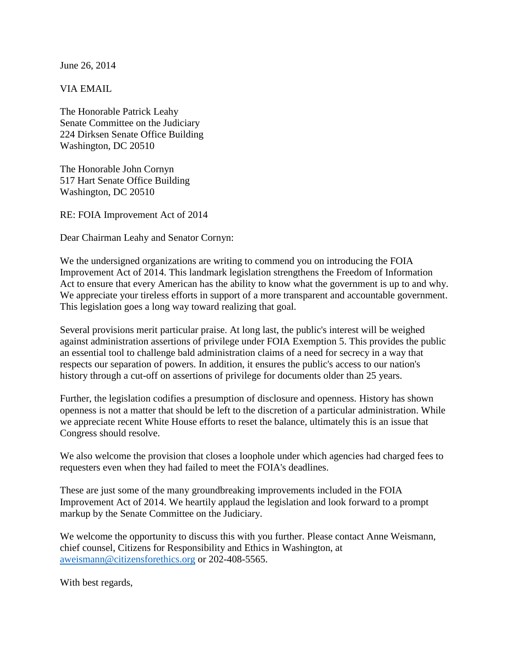June 26, 2014

VIA EMAIL

The Honorable Patrick Leahy Senate Committee on the Judiciary 224 Dirksen Senate Office Building Washington, DC 20510

The Honorable John Cornyn 517 Hart Senate Office Building Washington, DC 20510

RE: FOIA Improvement Act of 2014

Dear Chairman Leahy and Senator Cornyn:

We the undersigned organizations are writing to commend you on introducing the FOIA Improvement Act of 2014. This landmark legislation strengthens the Freedom of Information Act to ensure that every American has the ability to know what the government is up to and why. We appreciate your tireless efforts in support of a more transparent and accountable government. This legislation goes a long way toward realizing that goal.

Several provisions merit particular praise. At long last, the public's interest will be weighed against administration assertions of privilege under FOIA Exemption 5. This provides the public an essential tool to challenge bald administration claims of a need for secrecy in a way that respects our separation of powers. In addition, it ensures the public's access to our nation's history through a cut-off on assertions of privilege for documents older than 25 years.

Further, the legislation codifies a presumption of disclosure and openness. History has shown openness is not a matter that should be left to the discretion of a particular administration. While we appreciate recent White House efforts to reset the balance, ultimately this is an issue that Congress should resolve.

We also welcome the provision that closes a loophole under which agencies had charged fees to requesters even when they had failed to meet the FOIA's deadlines.

These are just some of the many groundbreaking improvements included in the FOIA Improvement Act of 2014. We heartily applaud the legislation and look forward to a prompt markup by the Senate Committee on the Judiciary.

We welcome the opportunity to discuss this with you further. Please contact Anne Weismann, chief counsel, Citizens for Responsibility and Ethics in Washington, at [aweismann@citizensforethics.org](mailto:aweismann@citizensforethics.org) or 202-408-5565.

With best regards,